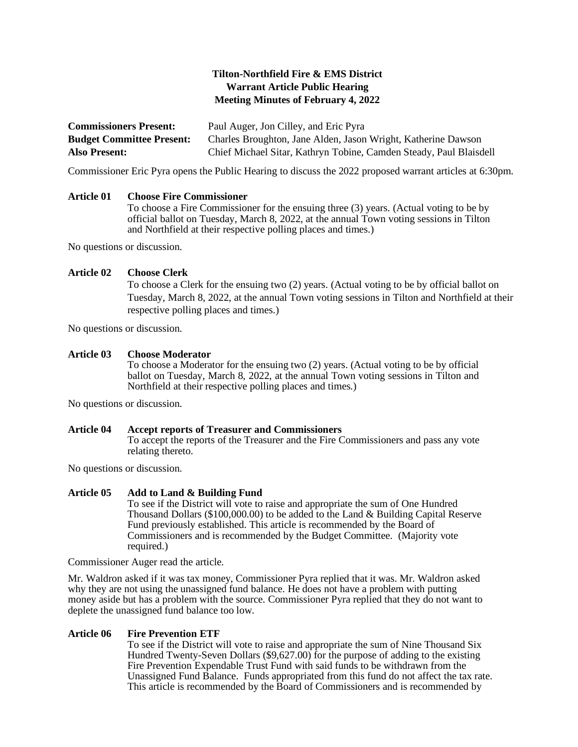# **Tilton-Northfield Fire & EMS District Warrant Article Public Hearing Meeting Minutes of February 4, 2022**

| <b>Commissioners Present:</b>    | Paul Auger, Jon Cilley, and Eric Pyra                              |
|----------------------------------|--------------------------------------------------------------------|
| <b>Budget Committee Present:</b> | Charles Broughton, Jane Alden, Jason Wright, Katherine Dawson      |
| <b>Also Present:</b>             | Chief Michael Sitar, Kathryn Tobine, Camden Steady, Paul Blaisdell |

Commissioner Eric Pyra opens the Public Hearing to discuss the 2022 proposed warrant articles at 6:30pm.

### **Article 01 Choose Fire Commissioner**

To choose a Fire Commissioner for the ensuing three (3) years. (Actual voting to be by official ballot on Tuesday, March 8, 2022, at the annual Town voting sessions in Tilton and Northfield at their respective polling places and times.)

No questions or discussion.

### **Article 02 Choose Clerk**

To choose a Clerk for the ensuing two (2) years. (Actual voting to be by official ballot on Tuesday, March 8, 2022, at the annual Town voting sessions in Tilton and Northfield at their respective polling places and times.)

No questions or discussion.

### **Article 03 Choose Moderator**

To choose a Moderator for the ensuing two (2) years. (Actual voting to be by official ballot on Tuesday, March 8, 2022, at the annual Town voting sessions in Tilton and Northfield at their respective polling places and times.)

No questions or discussion.

#### **Article 04 Accept reports of Treasurer and Commissioners**

To accept the reports of the Treasurer and the Fire Commissioners and pass any vote relating thereto.

No questions or discussion.

#### **Article 05 Add to Land & Building Fund**

To see if the District will vote to raise and appropriate the sum of One Hundred Thousand Dollars (\$100,000.00) to be added to the Land & Building Capital Reserve Fund previously established. This article is recommended by the Board of Commissioners and is recommended by the Budget Committee. (Majority vote required.)

Commissioner Auger read the article.

Mr. Waldron asked if it was tax money, Commissioner Pyra replied that it was. Mr. Waldron asked why they are not using the unassigned fund balance. He does not have a problem with putting money aside but has a problem with the source. Commissioner Pyra replied that they do not want to deplete the unassigned fund balance too low.

#### **Article 06 Fire Prevention ETF**

To see if the District will vote to raise and appropriate the sum of Nine Thousand Six Hundred Twenty-Seven Dollars  $(\$9,627.00)$  for the purpose of adding to the existing Fire Prevention Expendable Trust Fund with said funds to be withdrawn from the Unassigned Fund Balance. Funds appropriated from this fund do not affect the tax rate. This article is recommended by the Board of Commissioners and is recommended by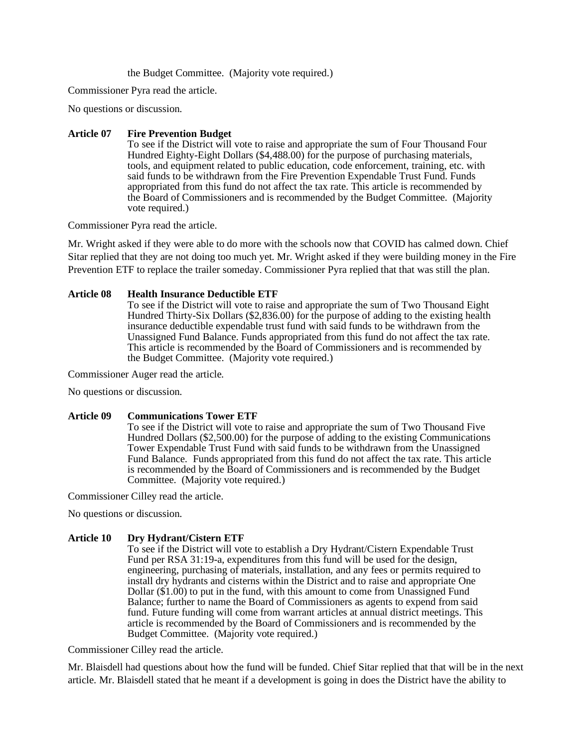the Budget Committee. (Majority vote required.)

Commissioner Pyra read the article.

No questions or discussion.

## **Article 07 Fire Prevention Budget**

To see if the District will vote to raise and appropriate the sum of Four Thousand Four Hundred Eighty-Eight Dollars (\$4,488.00) for the purpose of purchasing materials, tools, and equipment related to public education, code enforcement, training, etc. with said funds to be withdrawn from the Fire Prevention Expendable Trust Fund. Funds appropriated from this fund do not affect the tax rate. This article is recommended by the Board of Commissioners and is recommended by the Budget Committee. (Majority vote required.)

Commissioner Pyra read the article.

Mr. Wright asked if they were able to do more with the schools now that COVID has calmed down. Chief Sitar replied that they are not doing too much yet. Mr. Wright asked if they were building money in the Fire Prevention ETF to replace the trailer someday. Commissioner Pyra replied that that was still the plan.

## **Article 08 Health Insurance Deductible ETF**

To see if the District will vote to raise and appropriate the sum of Two Thousand Eight Hundred Thirty-Six Dollars (\$2,836.00) for the purpose of adding to the existing health insurance deductible expendable trust fund with said funds to be withdrawn from the Unassigned Fund Balance. Funds appropriated from this fund do not affect the tax rate. This article is recommended by the Board of Commissioners and is recommended by the Budget Committee. (Majority vote required.)

Commissioner Auger read the article.

No questions or discussion.

### **Article 09 Communications Tower ETF**

To see if the District will vote to raise and appropriate the sum of Two Thousand Five Hundred Dollars (\$2,500.00) for the purpose of adding to the existing Communications Tower Expendable Trust Fund with said funds to be withdrawn from the Unassigned Fund Balance. Funds appropriated from this fund do not affect the tax rate. This article is recommended by the Board of Commissioners and is recommended by the Budget Committee. (Majority vote required.)

Commissioner Cilley read the article.

No questions or discussion.

## **Article 10 Dry Hydrant/Cistern ETF**

To see if the District will vote to establish a Dry Hydrant/Cistern Expendable Trust Fund per RSA 31:19-a, expenditures from this fund will be used for the design, engineering, purchasing of materials, installation, and any fees or permits required to install dry hydrants and cisterns within the District and to raise and appropriate One Dollar (\$1.00) to put in the fund, with this amount to come from Unassigned Fund Balance; further to name the Board of Commissioners as agents to expend from said fund. Future funding will come from warrant articles at annual district meetings. This article is recommended by the Board of Commissioners and is recommended by the Budget Committee. (Majority vote required.)

Commissioner Cilley read the article.

Mr. Blaisdell had questions about how the fund will be funded. Chief Sitar replied that that will be in the next article. Mr. Blaisdell stated that he meant if a development is going in does the District have the ability to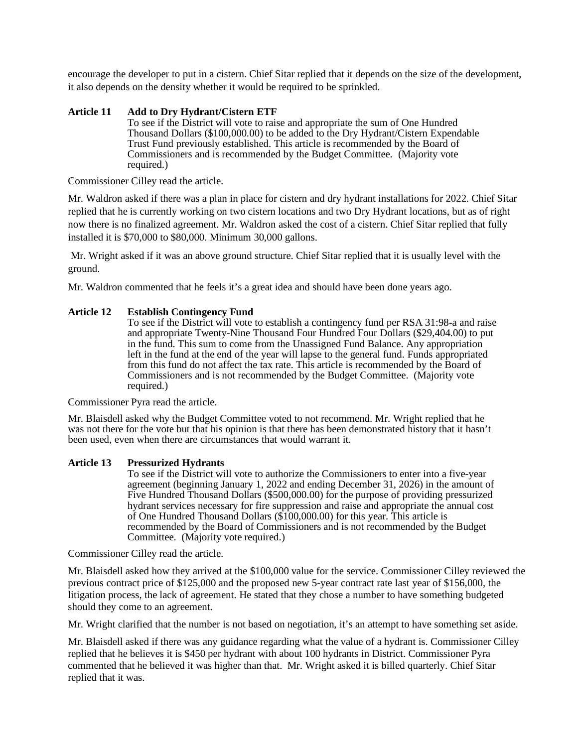encourage the developer to put in a cistern. Chief Sitar replied that it depends on the size of the development, it also depends on the density whether it would be required to be sprinkled.

## **Article 11 Add to Dry Hydrant/Cistern ETF**

To see if the District will vote to raise and appropriate the sum of One Hundred Thousand Dollars (\$100,000.00) to be added to the Dry Hydrant/Cistern Expendable Trust Fund previously established. This article is recommended by the Board of Commissioners and is recommended by the Budget Committee. (Majority vote required.)

Commissioner Cilley read the article.

Mr. Waldron asked if there was a plan in place for cistern and dry hydrant installations for 2022. Chief Sitar replied that he is currently working on two cistern locations and two Dry Hydrant locations, but as of right now there is no finalized agreement. Mr. Waldron asked the cost of a cistern. Chief Sitar replied that fully installed it is \$70,000 to \$80,000. Minimum 30,000 gallons.

Mr. Wright asked if it was an above ground structure. Chief Sitar replied that it is usually level with the ground.

Mr. Waldron commented that he feels it's a great idea and should have been done years ago.

## **Article 12 Establish Contingency Fund**

To see if the District will vote to establish a contingency fund per RSA 31:98-a and raise and appropriate Twenty-Nine Thousand Four Hundred Four Dollars (\$29,404.00) to put in the fund. This sum to come from the Unassigned Fund Balance. Any appropriation left in the fund at the end of the year will lapse to the general fund. Funds appropriated from this fund do not affect the tax rate. This article is recommended by the Board of Commissioners and is not recommended by the Budget Committee. (Majority vote required.)

Commissioner Pyra read the article.

Mr. Blaisdell asked why the Budget Committee voted to not recommend. Mr. Wright replied that he was not there for the vote but that his opinion is that there has been demonstrated history that it hasn't been used, even when there are circumstances that would warrant it.

### **Article 13 Pressurized Hydrants**

To see if the District will vote to authorize the Commissioners to enter into a five-year agreement (beginning January 1, 2022 and ending December 31, 2026) in the amount of Five Hundred Thousand Dollars (\$500,000.00) for the purpose of providing pressurized hydrant services necessary for fire suppression and raise and appropriate the annual cost of One Hundred Thousand Dollars (\$100,000.00) for this year. This article is recommended by the Board of Commissioners and is not recommended by the Budget Committee. (Majority vote required.)

Commissioner Cilley read the article.

Mr. Blaisdell asked how they arrived at the \$100,000 value for the service. Commissioner Cilley reviewed the previous contract price of \$125,000 and the proposed new 5-year contract rate last year of \$156,000, the litigation process, the lack of agreement. He stated that they chose a number to have something budgeted should they come to an agreement.

Mr. Wright clarified that the number is not based on negotiation, it's an attempt to have something set aside.

Mr. Blaisdell asked if there was any guidance regarding what the value of a hydrant is. Commissioner Cilley replied that he believes it is \$450 per hydrant with about 100 hydrants in District. Commissioner Pyra commented that he believed it was higher than that. Mr. Wright asked it is billed quarterly. Chief Sitar replied that it was.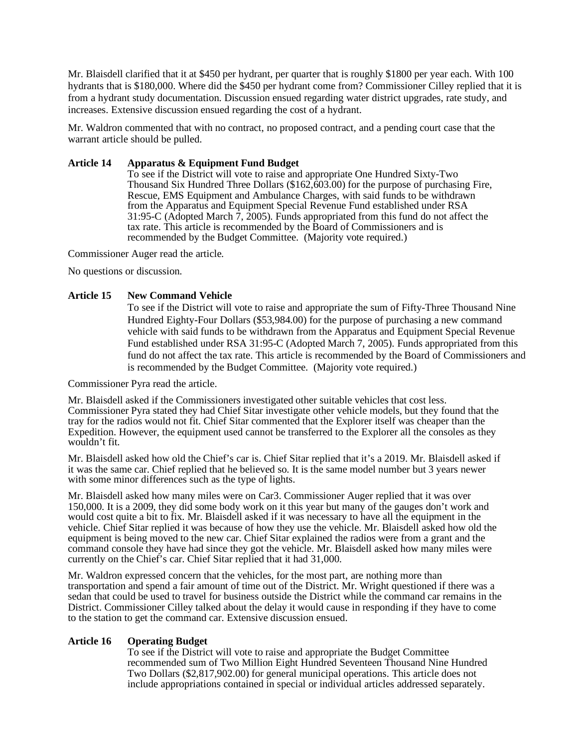Mr. Blaisdell clarified that it at \$450 per hydrant, per quarter that is roughly \$1800 per year each. With 100 hydrants that is \$180,000. Where did the \$450 per hydrant come from? Commissioner Cilley replied that it is from a hydrant study documentation. Discussion ensued regarding water district upgrades, rate study, and increases. Extensive discussion ensued regarding the cost of a hydrant.

Mr. Waldron commented that with no contract, no proposed contract, and a pending court case that the warrant article should be pulled.

## **Article 14 Apparatus & Equipment Fund Budget**

To see if the District will vote to raise and appropriate One Hundred Sixty-Two Thousand Six Hundred Three Dollars (\$162,603.00) for the purpose of purchasing Fire, Rescue, EMS Equipment and Ambulance Charges, with said funds to be withdrawn from the Apparatus and Equipment Special Revenue Fund established under RSA 31:95-C (Adopted March 7, 2005). Funds appropriated from this fund do not affect the tax rate. This article is recommended by the Board of Commissioners and is recommended by the Budget Committee. (Majority vote required.)

Commissioner Auger read the article.

No questions or discussion.

### **Article 15 New Command Vehicle**

To see if the District will vote to raise and appropriate the sum of Fifty-Three Thousand Nine Hundred Eighty-Four Dollars (\$53,984.00) for the purpose of purchasing a new command vehicle with said funds to be withdrawn from the Apparatus and Equipment Special Revenue Fund established under RSA 31:95-C (Adopted March 7, 2005). Funds appropriated from this fund do not affect the tax rate. This article is recommended by the Board of Commissioners and is recommended by the Budget Committee. (Majority vote required.)

Commissioner Pyra read the article.

Mr. Blaisdell asked if the Commissioners investigated other suitable vehicles that cost less. Commissioner Pyra stated they had Chief Sitar investigate other vehicle models, but they found that the tray for the radios would not fit. Chief Sitar commented that the Explorer itself was cheaper than the Expedition. However, the equipment used cannot be transferred to the Explorer all the consoles as they wouldn't fit.

Mr. Blaisdell asked how old the Chief's car is. Chief Sitar replied that it's a 2019. Mr. Blaisdell asked if it was the same car. Chief replied that he believed so. It is the same model number but 3 years newer with some minor differences such as the type of lights.

Mr. Blaisdell asked how many miles were on Car3. Commissioner Auger replied that it was over 150,000. It is a 2009, they did some body work on it this year but many of the gauges don't work and would cost quite a bit to fix. Mr. Blaisdell asked if it was necessary to have all the equipment in the vehicle. Chief Sitar replied it was because of how they use the vehicle. Mr. Blaisdell asked how old the equipment is being moved to the new car. Chief Sitar explained the radios were from a grant and the command console they have had since they got the vehicle. Mr. Blaisdell asked how many miles were currently on the Chief's car. Chief Sitar replied that it had 31,000.

Mr. Waldron expressed concern that the vehicles, for the most part, are nothing more than transportation and spend a fair amount of time out of the District. Mr. Wright questioned if there was a sedan that could be used to travel for business outside the District while the command car remains in the District. Commissioner Cilley talked about the delay it would cause in responding if they have to come to the station to get the command car. Extensive discussion ensued.

### **Article 16 Operating Budget**

To see if the District will vote to raise and appropriate the Budget Committee recommended sum of Two Million Eight Hundred Seventeen Thousand Nine Hundred Two Dollars (\$2,817,902.00) for general municipal operations. This article does not include appropriations contained in special or individual articles addressed separately.